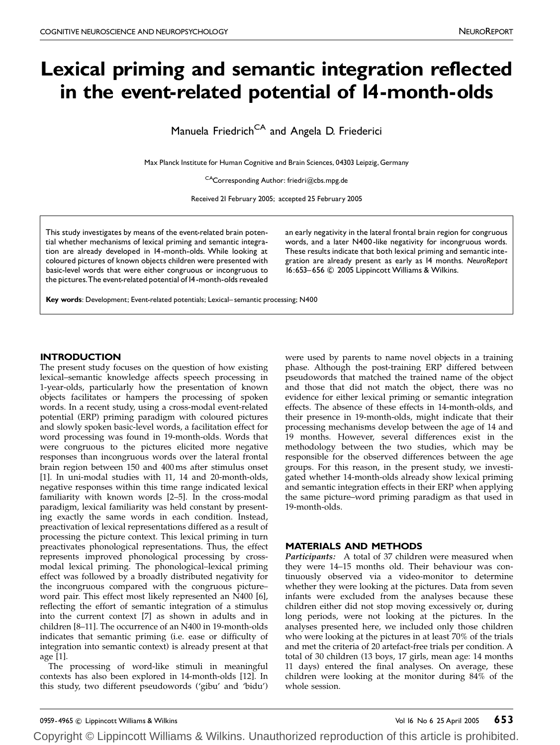# Lexical priming and semantic integration reflected in the event-related potential of 14 -month-olds

Manuela Friedrich<sup>CA</sup> and Angela D. Friederici

Max Planck Institute for Human Cognitive and Brain Sciences, 04303 Leipzig,Germany

<sup>CA</sup>Corresponding Author: friedri@cbs.mpg.de

Received 21 February 2005; accepted 25 February 2005

This study investigates by means of the event-related brain potential whether mechanisms of lexical priming and semantic integration are already developed in 14 -month-olds. While looking at coloured pictures of known objects children were presented with basic-level words that were either congruous or incongruous to the pictures. The event-related potential of I4-month-olds revealed an early negativity in the lateral frontal brain region for congruous words, and a later N400 -like negativity for incongruous words. These results indicate that both lexical priming and semantic integration are already present as early as 14 months. NeuroReport 16:653-656 © 2005 Lippincott Williams & Wilkins.

Key words: Development; Event-related potentials; Lexical-semantic processing; N400

### INTRODUCTION

The present study focuses on the question of how existing lexical–semantic knowledge affects speech processing in 1-year-olds, particularly how the presentation of known objects facilitates or hampers the processing of spoken words. In a recent study, using a cross-modal event-related potential (ERP) priming paradigm with coloured pictures and slowly spoken basic-level words, a facilitation effect for word processing was found in 19-month-olds. Words that were congruous to the pictures elicited more negative responses than incongruous words over the lateral frontal brain region between 150 and 400 ms after stimulus onset [1]. In uni-modal studies with 11, 14 and 20-month-olds, negative responses within this time range indicated lexical familiarity with known words [2–5]. In the cross-modal paradigm, lexical familiarity was held constant by presenting exactly the same words in each condition. Instead, preactivation of lexical representations differed as a result of processing the picture context. This lexical priming in turn preactivates phonological representations. Thus, the effect represents improved phonological processing by crossmodal lexical priming. The phonological–lexical priming effect was followed by a broadly distributed negativity for the incongruous compared with the congruous picture– word pair. This effect most likely represented an N400 [6], reflecting the effort of semantic integration of a stimulus into the current context [7] as shown in adults and in children [8–11]. The occurrence of an N400 in 19-month-olds indicates that semantic priming (i.e. ease or difficulty of integration into semantic context) is already present at that age [1].

The processing of word-like stimuli in meaningful contexts has also been explored in 14-month-olds [12]. In this study, two different pseudowords ('gibu' and 'bidu') were used by parents to name novel objects in a training phase. Although the post-training ERP differed between pseudowords that matched the trained name of the object and those that did not match the object, there was no evidence for either lexical priming or semantic integration effects. The absence of these effects in 14-month-olds, and their presence in 19-month-olds, might indicate that their processing mechanisms develop between the age of 14 and 19 months. However, several differences exist in the methodology between the two studies, which may be responsible for the observed differences between the age groups. For this reason, in the present study, we investigated whether 14-month-olds already show lexical priming and semantic integration effects in their ERP when applying the same picture–word priming paradigm as that used in 19-month-olds.

## MATERIALS AND METHODS

Participants: A total of 37 children were measured when they were 14–15 months old. Their behaviour was continuously observed via a video-monitor to determine whether they were looking at the pictures. Data from seven infants were excluded from the analyses because these children either did not stop moving excessively or, during long periods, were not looking at the pictures. In the analyses presented here, we included only those children who were looking at the pictures in at least 70% of the trials and met the criteria of 20 artefact-free trials per condition. A total of 30 children (13 boys, 17 girls, mean age: 14 months 11 days) entered the final analyses. On average, these children were looking at the monitor during 84% of the whole session.

Copyright © Lippincott Williams & Wilkins. Unauthorized reproduction of this article is prohibited.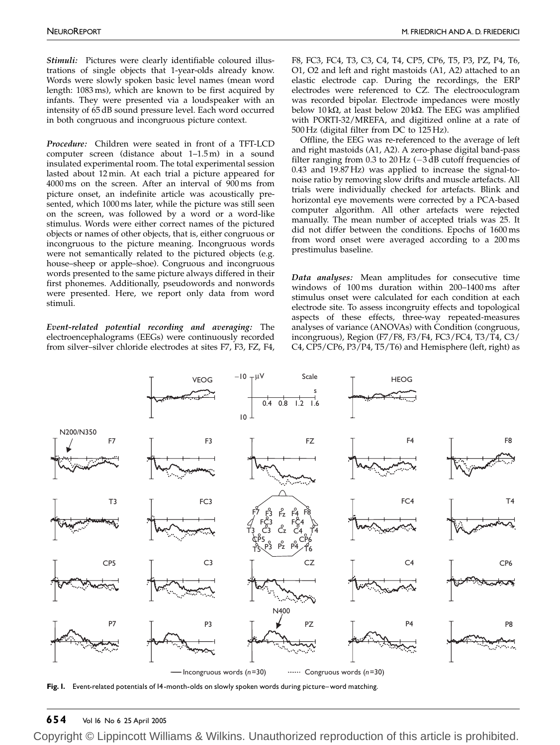NEUROREPORT TERM IN A SERVER OF THE SERVER OF THE SERVER OF THE SERVER OF THE SERVER OF THE SERVER OF THE SERVER OF THE SERVER OF THE SERVER OF THE SERVER OF THE SERVER OF THE SERVER OF THE SERVER OF THE SERVER OF THE SERV

Stimuli: Pictures were clearly identifiable coloured illustrations of single objects that 1-year-olds already know. Words were slowly spoken basic level names (mean word length: 1083 ms), which are known to be first acquired by infants. They were presented via a loudspeaker with an intensity of 65 dB sound pressure level. Each word occurred in both congruous and incongruous picture context.

Procedure: Children were seated in front of a TFT-LCD computer screen (distance about 1–1.5 m) in a sound insulated experimental room. The total experimental session lasted about 12 min. At each trial a picture appeared for 4000 ms on the screen. After an interval of 900 ms from picture onset, an indefinite article was acoustically presented, which 1000 ms later, while the picture was still seen on the screen, was followed by a word or a word-like stimulus. Words were either correct names of the pictured objects or names of other objects, that is, either congruous or incongruous to the picture meaning. Incongruous words were not semantically related to the pictured objects (e.g. house–sheep or apple–shoe). Congruous and incongruous words presented to the same picture always differed in their first phonemes. Additionally, pseudowords and nonwords were presented. Here, we report only data from word stimuli.

Event-related potential recording and averaging: The electroencephalograms (EEGs) were continuously recorded from silver–silver chloride electrodes at sites F7, F3, FZ, F4,

F8, FC3, FC4, T3, C3, C4, T4, CP5, CP6, T5, P3, PZ, P4, T6, O1, O2 and left and right mastoids (A1, A2) attached to an elastic electrode cap. During the recordings, the ERP electrodes were referenced to CZ. The electrooculogram was recorded bipolar. Electrode impedances were mostly below 10 kQ, at least below 20 kQ. The EEG was amplified with PORTI-32/MREFA, and digitized online at a rate of 500 Hz (digital filter from DC to 125 Hz).

Offline, the EEG was re-referenced to the average of left and right mastoids (A1, A2). A zero-phase digital band-pass filter ranging from 0.3 to 20 Hz (-3 dB cutoff frequencies of 0.43 and 19.87 Hz) was applied to increase the signal-tonoise ratio by removing slow drifts and muscle artefacts. All trials were individually checked for artefacts. Blink and horizontal eye movements were corrected by a PCA-based computer algorithm. All other artefacts were rejected manually. The mean number of accepted trials was 25. It did not differ between the conditions. Epochs of 1600 ms from word onset were averaged according to a 200 ms prestimulus baseline.

Data analyses: Mean amplitudes for consecutive time windows of 100 ms duration within 200–1400 ms after stimulus onset were calculated for each condition at each electrode site. To assess incongruity effects and topological aspects of these effects, three-way repeated-measures analyses of variance (ANOVAs) with Condition (congruous, incongruous), Region (F7/F8, F3/F4, FC3/FC4, T3/T4, C3/ C4,  $CP5/CP6$ ,  $P3/P4$ ,  $T5/T6$ ) and Hemisphere (left, right) as



Fig. I. Event-related potentials of I4-month-olds on slowly spoken words during picture-word matching.

# 654 Vol 16 No 6 25 April 2005

Copyright © Lippincott Williams & Wilkins. Unauthorized reproduction of this article is prohibited.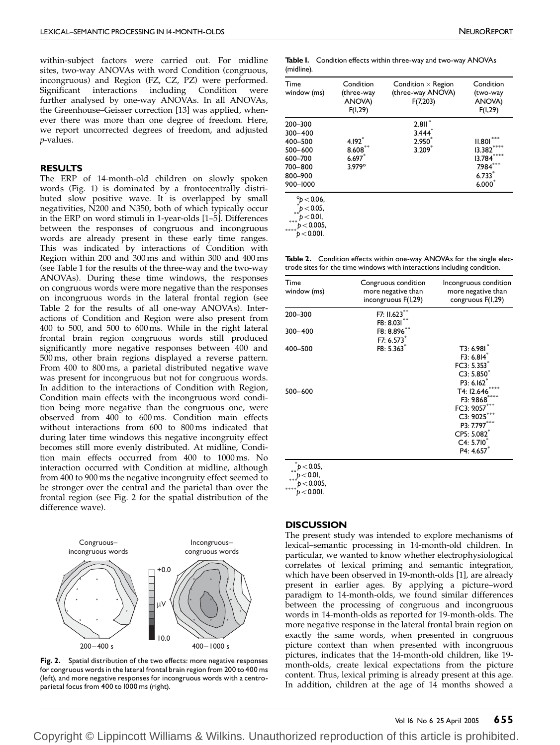within-subject factors were carried out. For midline sites, two-way ANOVAs with word Condition (congruous, incongruous) and Region (FZ, CZ, PZ) were performed. Significant interactions including Condition were further analysed by one-way ANOVAs. In all ANOVAs, the Greenhouse–Geisser correction [13] was applied, whenever there was more than one degree of freedom. Here, we report uncorrected degrees of freedom, and adjusted p-values.

#### RESULTS

The ERP of 14-month-old children on slowly spoken words (Fig. 1) is dominated by a frontocentrally distributed slow positive wave. It is overlapped by small negativities, N200 and N350, both of which typically occur in the ERP on word stimuli in 1-year-olds [1–5]. Differences between the responses of congruous and incongruous words are already present in these early time ranges. This was indicated by interactions of Condition with Region within 200 and 300 ms and within 300 and 400 ms (see Table 1 for the results of the three-way and the two-way ANOVAs). During these time windows, the responses on congruous words were more negative than the responses on incongruous words in the lateral frontal region (see Table 2 for the results of all one-way ANOVAs). Interactions of Condition and Region were also present from 400 to 500, and 500 to 600 ms. While in the right lateral frontal brain region congruous words still produced significantly more negative responses between 400 and 500 ms, other brain regions displayed a reverse pattern. From 400 to 800 ms, a parietal distributed negative wave was present for incongruous but not for congruous words. In addition to the interactions of Condition with Region, Condition main effects with the incongruous word condition being more negative than the congruous one, were observed from 400 to 600 ms. Condition main effects without interactions from 600 to 800 ms indicated that during later time windows this negative incongruity effect becomes still more evenly distributed. At midline, Condition main effects occurred from 400 to 1000 ms. No interaction occurred with Condition at midline, although from 400 to 900 ms the negative incongruity effect seemed to be stronger over the central and the parietal than over the frontal region (see Fig. 2 for the spatial distribution of the difference wave).



Fig. 2. Spatial distribution of the two effects: more negative responses for congruous words in the lateral frontal brain region from 200 to 400 ms (left), and more negative responses for incongruous words with a centroparietal focus from 400 to 1000 ms (right).

|            | Table I. Condition effects within three-way and two-way ANOVAs |
|------------|----------------------------------------------------------------|
| (midline). |                                                                |

| Time<br>window (ms)                                                                         | Condition<br>(three-way<br>ANOVA)<br>F(1,29)   | Condition $\times$ Region<br>(three-way ANOVA)<br>F(7,203) | Condition<br>(two-way<br>ANOVA)<br>F(1, 29)                           |
|---------------------------------------------------------------------------------------------|------------------------------------------------|------------------------------------------------------------|-----------------------------------------------------------------------|
| 200-300<br>$300 - 400$<br>400-500<br>500-600<br>600-700<br>700-800<br>800-900<br>900-1000   | 4.192 <sup>°</sup><br>8.608<br>6.697<br>3.979° | 2.811<br>3.444<br>$2.950^{*}$<br>$3.209*$                  | 1.80 <br>13.382<br>****<br>13.784<br>7.984***<br>$6.733*$<br>$6.000*$ |
| $\degree p < 0.06,$<br>$p < 0.05$ ,<br>$P_{***}$ p $<$ 0.01,<br>$\sim$ $\cap$ $\cap$ $\cap$ |                                                |                                                            |                                                                       |

p < 0.005,<br>\*p < 0.001.

Table 2. Condition effects within one-way ANOVAs for the single electrode sites for the time windows with interactions including condition.

| Time<br>window (ms) | Congruous condition<br>more negative than<br>incongruous F(1,29) | Incongruous condition<br>more negative than<br>congruous F(I,29)                                                                 |
|---------------------|------------------------------------------------------------------|----------------------------------------------------------------------------------------------------------------------------------|
| 200-300             | F7: II.623**<br>F8: 8.031**                                      |                                                                                                                                  |
| $300 - 400$         | F8: 8.896**<br>F7: $6.573$ <sup>*</sup>                          |                                                                                                                                  |
| 400-500             | F8: 5.363                                                        | T3: 6.981<br>F3: 6.814<br>FC3: 5.353*<br>$C3: 5.850^{*}$<br>$P3: 6.162*$                                                         |
| 500-600             |                                                                  | T4: I2.646****<br>F3: 9.868****<br>FC3: 9.057***<br>$C3: 9.025***$<br>P3: 7.797***<br>CP5: 5.082<br>$C4: 5.710^{*}$<br>P4: 4.657 |

 $P > 0.05$ ,

 $p < 0.01,$ <br>\*\*\*\*p $< 0.005,$ <br> $p < 0.001.$ 

**DISCUSSION** 

The present study was intended to explore mechanisms of lexical–semantic processing in 14-month-old children. In particular, we wanted to know whether electrophysiological correlates of lexical priming and semantic integration, which have been observed in 19-month-olds [1], are already present in earlier ages. By applying a picture–word paradigm to 14-month-olds, we found similar differences between the processing of congruous and incongruous words in 14-month-olds as reported for 19-month-olds. The more negative response in the lateral frontal brain region on exactly the same words, when presented in congruous picture context than when presented with incongruous pictures, indicates that the 14-month-old children, like 19 month-olds, create lexical expectations from the picture content. Thus, lexical priming is already present at this age. In addition, children at the age of 14 months showed a